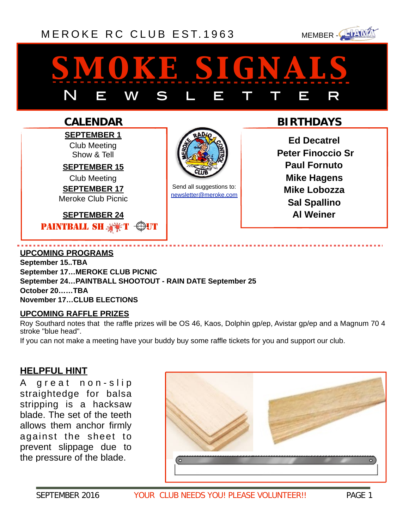# [MEROKE RC CLUB](http://www.meroke.com) EST. 1963 MEMBER-



# *smoke signals* N E W S L E T T E R

# **CALENDAR**

**SEPTEMBER 1** Club Meeting Show & Tell

**SEPTEMBER 15**  Club Meeting **SEPTEMBER 17** 

Meroke Club Picnic

**SEPTEMBER 24**  PAINTBALL SHEX



Send all suggestions to: [newsletter@meroke.com](mailto:newsletter@meroke.com)

# **BIRTHDAYS**

**Ed Decatrel Peter Finoccio Sr Paul Fornuto Mike Hagens Mike Lobozza Sal Spallino Al Weiner** 

### **UPCOMING PROGRAMS**

**September 15..TBA September 17…MEROKE CLUB PICNIC September 24…PAINTBALL SHOOTOUT - RAIN DATE September 25 October 20……TBA November 17…CLUB ELECTIONS**

### **UPCOMING RAFFLE PRIZES**

Roy Southard notes that the raffle prizes will be OS 46, Kaos, Dolphin gp/ep, Avistar gp/ep and a Magnum 70 4 stroke "blue head".

If you can not make a meeting have your buddy buy some raffle tickets for you and support our club.

# **HELPFUL HINT**

A great non-slip straightedge for balsa stripping is a hacksaw blade. The set of the teeth allows them anchor firmly against the sheet to prevent slippage due to the pressure of the blade.

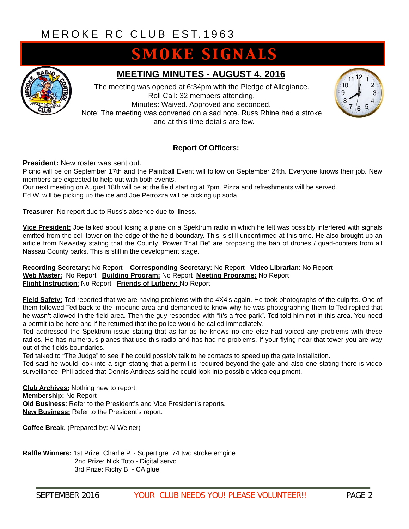# **SMOKE SIGNALS**



### **MEETING MINUTES - AUGUST 4, 2016**

The meeting was opened at 6:34pm with the Pledge of Allegiance. Roll Call: 32 members attending. Minutes: Waived. Approved and seconded. Note: The meeting was convened on a sad note. Russ Rhine had a stroke and at this time details are few.



### **Report Of Officers:**

**President:** New roster was sent out.

Picnic will be on September 17th and the Paintball Event will follow on September 24th. Everyone knows their job. New members are expected to help out with both events.

Our next meeting on August 18th will be at the field starting at 7pm. Pizza and refreshments will be served. Ed W. will be picking up the ice and Joe Petrozza will be picking up soda.

**Treasurer**: No report due to Russ's absence due to illness.

**Vice President:** Joe talked about losing a plane on a Spektrum radio in which he felt was possibly interfered with signals emitted from the cell tower on the edge of the field boundary. This is still unconfirmed at this time. He also brought up an article from Newsday stating that the County "Power That Be" are proposing the ban of drones / quad-copters from all Nassau County parks. This is still in the development stage.

#### **Recording Secretary:** No Report **Corresponding Secretary:** No Report **Video Librarian**: No Report **Web Master:** No Report **Building Program:** No Report **Meeting Programs:** No Report **Flight Instruction**: No Report **Friends of Lufbery:** No Report

**Field Safety:** Ted reported that we are having problems with the 4X4's again. He took photographs of the culprits. One of them followed Ted back to the impound area and demanded to know why he was photographing them to Ted replied that he wasn't allowed in the field area. Then the guy responded with "It's a free park". Ted told him not in this area. You need a permit to be here and if he returned that the police would be called immediately.

Ted addressed the Spektrum issue stating that as far as he knows no one else had voiced any problems with these radios. He has numerous planes that use this radio and has had no problems. If your flying near that tower you are way out of the fields boundaries.

Ted talked to "The Judge" to see if he could possibly talk to he contacts to speed up the gate installation.

Ted said he would look into a sign stating that a permit is required beyond the gate and also one stating there is video surveillance. Phil added that Dennis Andreas said he could look into possible video equipment.

**Club Archives:** Nothing new to report. **Membership:** No Report **Old Business**: Refer to the President's and Vice President's reports. **New Business:** Refer to the President's report.

**Coffee Break.** (Prepared by: Al Weiner)

**Raffle Winners:** 1st Prize: Charlie P. - Supertigre .74 two stroke emgine 2nd Prize: Nick Toto - Digital servo 3rd Prize: Richy B. - CA glue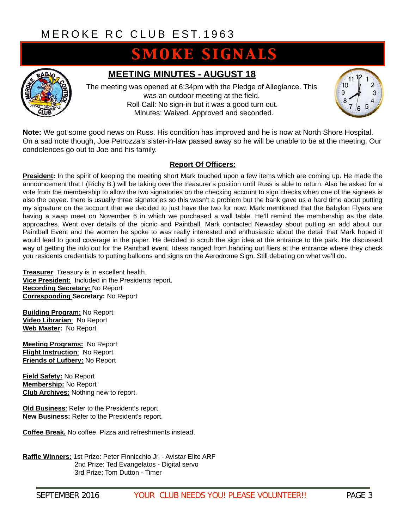# **SMOKE SIGNALS**



### **MEETING MINUTES - AUGUST 18**

The meeting was opened at 6:34pm with the Pledge of Allegiance. This was an outdoor meeting at the field. Roll Call: No sign-in but it was a good turn out. Minutes: Waived. Approved and seconded.



**Note:** We got some good news on Russ. His condition has improved and he is now at North Shore Hospital. On a sad note though, Joe Petrozza's sister-in-law passed away so he will be unable to be at the meeting. Our condolences go out to Joe and his family.

#### **Report Of Officers:**

**President:** In the spirit of keeping the meeting short Mark touched upon a few items which are coming up. He made the announcement that I (Richy B.) will be taking over the treasurer's position until Russ is able to return. Also he asked for a vote from the membership to allow the two signatories on the checking account to sign checks when one of the signees is also the payee. there is usually three signatories so this wasn't a problem but the bank gave us a hard time about putting my signature on the account that we decided to just have the two for now. Mark mentioned that the Babylon Flyers are having a swap meet on November 6 in which we purchased a wall table. He'll remind the membership as the date approaches. Went over details of the picnic and Paintball. Mark contacted Newsday about putting an add about our Paintball Event and the women he spoke to was really interested and enthusiastic about the detail that Mark hoped it would lead to good coverage in the paper. He decided to scrub the sign idea at the entrance to the park. He discussed way of getting the info out for the Paintball event. Ideas ranged from handing out fliers at the entrance where they check you residents credentials to putting balloons and signs on the Aerodrome Sign. Still debating on what we'll do.

**Treasurer**: Treasury is in excellent health. **Vice President:** Included in the Presidents report. **Recording Secretary:** No Report **Corresponding Secretary:** No Report

**Building Program:** No Report **Video Librarian**: No Report **Web Master:** No Report

**Meeting Programs:** No Report **Flight Instruction**: No Report **Friends of Lufbery:** No Report

**Field Safety:** No Report **Membership:** No Report **Club Archives:** Nothing new to report.

**Old Business**: Refer to the President's report. **New Business:** Refer to the President's report.

**Coffee Break.** No coffee. Pizza and refreshments instead.

**Raffle Winners:** 1st Prize: Peter Finnicchio Jr. - Avistar Elite ARF 2nd Prize: Ted Evangelatos - Digital servo 3rd Prize: Tom Dutton - Timer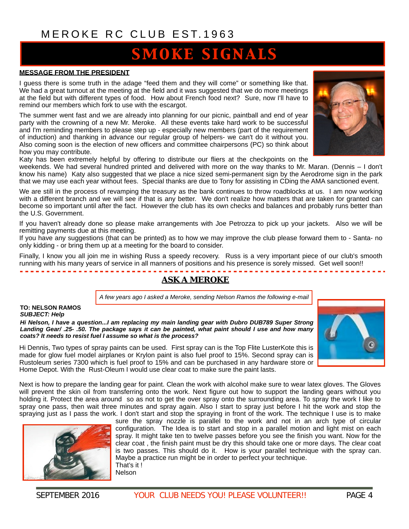# **SMOKE SIGNALS**

#### **MESSAGE FROM THE PRESIDENT**

I guess there is some truth in the adage "feed them and they will come" or something like that. We had a great turnout at the meeting at the field and it was suggested that we do more meetings at the field but with different types of food. How about French food next? Sure, now I'll have to remind our members which fork to use with the escargot.

The summer went fast and we are already into planning for our picnic, paintball and end of year party with the crowning of a new Mr. Meroke. All these events take hard work to be successful and I'm reminding members to please step up - especially new members (part of the requirement of induction) and thanking in advance our regular group of helpers- we can't do it without you. Also coming soon is the election of new officers and committee chairpersons (PC) so think about how you may contribute.



Katy has been extremely helpful by offering to distribute our fliers at the checkpoints on the

weekends. We had several hundred printed and delivered with more on the way thanks to Mr. Maran. (Dennis – I don't know his name) Katy also suggested that we place a nice sized semi-permanent sign by the Aerodrome sign in the park that we may use each year without fees. Special thanks are due to Tony for assisting in CDing the AMA sanctioned event.

We are still in the process of revamping the treasury as the bank continues to throw roadblocks at us. I am now working with a different branch and we will see if that is any better. We don't realize how matters that are taken for granted can become so important until after the fact. However the club has its own checks and balances and probably runs better than the U.S. Government.

If you haven't already done so please make arrangements with Joe Petrozza to pick up your jackets. Also we will be remitting payments due at this meeting.

If you have any suggestions (that can be printed) as to how we may improve the club please forward them to - Santa- no only kidding - or bring them up at a meeting for the board to consider.

Finally, I know you all join me in wishing Russ a speedy recovery. Russ is a very important piece of our club's smooth running with his many years of service in all manners of positions and his presence is sorely missed. Get well soon!!

# *ASK A MEROKE*

*A few years ago I asked a Meroke, sending Nelson Ramos the following e-mail*

**TO: NELSON RAMOS** *SUBJECT: Help* 

*Hi Nelson, I have a question...I am replacing my main landing gear with Dubro DUB789 Super Strong Landing Gear/ .25- .50. The package says it can be painted, what paint should I use and how many coats? It needs to resist fuel I assume so what is the process?* 

------------

Hi Dennis, Two types of spray paints can be used. First spray can is the Top Flite LusterKote this is made for glow fuel model airplanes or Krylon paint is also fuel proof to 15%. Second spray can is Rustoleum series 7300 which is fuel proof to 15% and can be purchased in any hardware store or Home Depot. With the Rust-Oleum I would use clear coat to make sure the paint lasts.

Next is how to prepare the landing gear for paint. Clean the work with alcohol make sure to wear latex gloves. The Gloves will prevent the skin oil from transferring onto the work. Next figure out how to support the landing gears without you holding it. Protect the area around so as not to get the over spray onto the surrounding area. To spray the work I like to spray one pass, then wait three minutes and spray again. Also I start to spray just before I hit the work and stop the spraying just as I pass the work. I don't start and stop the spraying in front of the work. The technique I use is to make



sure the spray nozzle is parallel to the work and not in an arch type of circular configuration. The Idea is to start and stop in a parallel motion and light mist on each spray. It might take ten to twelve passes before you see the finish you want. Now for the clear coat , the finish paint must be dry this should take one or more days. The clear coat is two passes. This should do it. How is your parallel technique with the spray can. Maybe a practice run might be in order to perfect your technique. That's it ! Nelson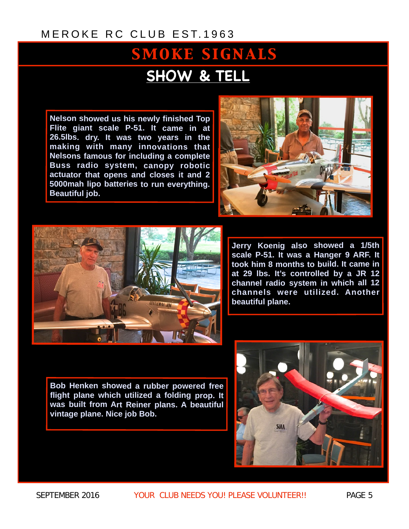# **SMOKE SIGNALS SHOW & TELL**

**Nelson showed us his newly finished Top Flite giant scale P-51. It came in at 26.5lbs. dry. It was two years in the making with many innovations that Nelsons famous for including a complete Buss radio system, canopy robotic actuator that opens and closes it and 2 5000mah lipo batteries to run everything. Beautiful job.**





**Jerry Koenig also showed a 1/5th scale P-51. It was a Hanger 9 ARF. It took him 8 months to build. It came in at 29 lbs. It's controlled by a JR 12 channel radio system in which all 12 channels were utilized. Another beautiful plane.** 

**Bob Henken showed a rubber powered free flight plane which utilized a folding prop. It was built from Art Reiner plans. A beautiful vintage plane. Nice job Bob.** 

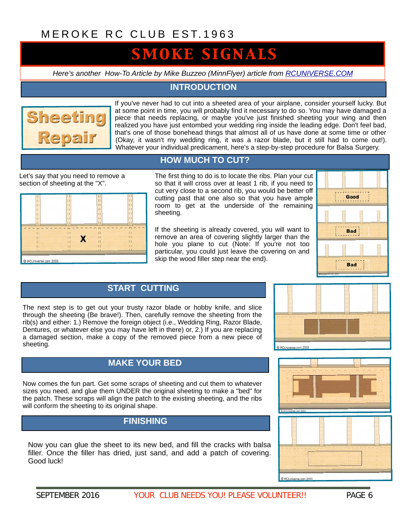# **SMOKE SIGNALS**

*Here's another How-To Article by Mike Buzzeo (MinnFlyer) article from [RCUNIVERSE.COM](http://RCuniverse.com)*

### **INTRODUCTION**



If you've never had to cut into a sheeted area of your airplane, consider yourself lucky. But at some point in time, you will probably find it necessary to do so. You may have damaged a piece that needs replacing, or maybe you've just finished sheeting your wing and then realized you have just entombed your wedding ring inside the leading edge. Don't feel bad, that's one of those bonehead things that almost all of us have done at some time or other (Okay, it wasn't my wedding ring, it was a razor blade, but it still had to come out!). Whatever your individual predicament, here's a step-by-step procedure for Balsa Surgery.

### **HOW MUCH TO CUT?**

Let's say that you need to remove a section of sheeting at the "X".

| $\overline{11}$       | П            | П            | $\mathbf{H}$   |
|-----------------------|--------------|--------------|----------------|
| $\mathbf{1}$          | П            | $\mathbf{H}$ | $\mathbf{1}$   |
| $\mathbf{1}$          | $\mathbf{H}$ | 11           | $\mathbf{L}$   |
| $\mathbf{1}$          | $\mathbf{I}$ | $\mathbf{H}$ | $\mathbf{1}$   |
| $\mathbf{1}$          | $\mathbf{1}$ | $\mathbf{1}$ | $\overline{1}$ |
| $\blacksquare$        | $\mathbf{1}$ | $\mathbf{H}$ | $\mathbf{1}$   |
| $\perp$               | $_{11}$      | $_{11}$      | $_{1.1}$       |
| -                     | . .          | . .          |                |
| 11                    | $\mathbf{H}$ | 11           | $\mathbf{1}$   |
| $\mathbf{1}$          | $\mathbf{r}$ | $\mathbf{1}$ | $\mathbf{H}$   |
| $\mathbf{H}$          | $1-1$        | n            | Ĥ              |
| Ħ                     | $\mathbf{1}$ | $\mathbf{1}$ | п              |
| $\mathbf{L}$          | <b>Li</b>    | L            | ш              |
|                       |              |              |                |
| C RCUniverse.com 2003 |              |              |                |

The first thing to do is to locate the ribs. Plan your cut so that it will cross over at least 1 rib, if you need to cut very close to a second rib, you would be better off cutting past that one also so that you have ample room to get at the underside of the remaining sheeting.

If the sheeting is already covered, you will want to remove an area of covering slightly larger than the hole you plane to cut (Note: If you're not too particular, you could just leave the covering on and skip the wood filler step near the end).



# **START CUTTING**

The next step is to get out your trusty razor blade or hobby knife, and slice through the sheeting (Be brave!). Then, carefully remove the sheeting from the rib(s) and either: 1.) Remove the foreign object (i.e., Wedding Ring, Razor Blade, Dentures, or whatever else you may have left in there) or, 2.) If you are replacing a damaged section, make a copy of the removed piece from a new piece of sheeting.



### **MAKE YOUR BED**

Now comes the fun part. Get some scraps of sheeting and cut them to whatever sizes you need, and glue them UNDER the original sheeting to make a "bed" for the patch. These scraps will align the patch to the existing sheeting, and the ribs will conform the sheeting to its original shape.

## **FINISHING**

Now you can glue the sheet to its new bed, and fill the cracks with balsa filler. Once the filler has dried, just sand, and add a patch of covering. Good luck!



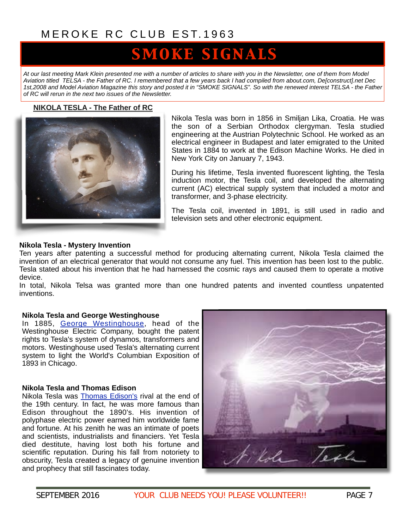# **SMOKE SIGNALS**

*At our last meeting Mark Klein presented me with a number of articles to share with you in the Newsletter, one of them from Model Aviation titled TELSA - the Father of RC. I remembered that a few years back I had compiled from about.com, De[construct].net Dec 1st,2008 and Model Aviation Magazine this story and posted it in "SMOKE SIGNALS". So with the renewed interest TELSA - the Father of RC will rerun in the next two issues of the Newsletter.*

#### **NIKOLA TESLA - The Father of RC**



Nikola Tesla was born in 1856 in Smiljan Lika, Croatia. He was the son of a Serbian Orthodox clergyman. Tesla studied engineering at the Austrian Polytechnic School. He worked as an electrical engineer in Budapest and later emigrated to the United States in 1884 to work at the Edison Machine Works. He died in New York City on January 7, 1943.

During his lifetime, Tesla invented fluorescent lighting, the Tesla induction motor, the [Tesla coil](http://inventors.about.com/od/tstartinventors/ss/Tesla_2.htm), and developed the alternating current (AC) electrical supply system that included a motor and transformer, and 3-phase electricity.

The Tesla coil, invented in 1891, is still used in radio and television sets and other electronic equipment.

#### **Nikola Tesla - Mystery Invention**

Ten years after patenting a successful method for producing alternating current, Nikola Tesla claimed the invention of an electrical generator that would not consume any fuel. This invention has been lost to the public. Tesla stated about his invention that he had harnessed the cosmic rays and caused them to operate a motive device.

In total, Nikola Telsa was granted more than one hundred patents and invented countless unpatented inventions.

#### **Nikola Tesla and George Westinghouse**

In 1885, [George Westinghouse](http://inventors.about.com/library/inventors/blwestinghouse.htm), head of the Westinghouse Electric Company, bought the patent rights to Tesla's system of dynamos, transformers and motors. Westinghouse used Tesla's alternating current system to light the World's Columbian Exposition of 1893 in Chicago.

#### **Nikola Tesla and Thomas Edison**

Nikola Tesla was [Thomas Edison's](http://inventors.about.com/library/inventors/bledison.htm) rival at the end of the 19th century. In fact, he was more famous than Edison throughout the 1890's. His invention of polyphase electric power earned him worldwide fame and fortune. At his zenith he was an intimate of poets and scientists, industrialists and financiers. Yet Tesla died destitute, having lost both his fortune and scientific reputation. During his fall from notoriety to obscurity, Tesla created a legacy of genuine invention and prophecy that still fascinates today.